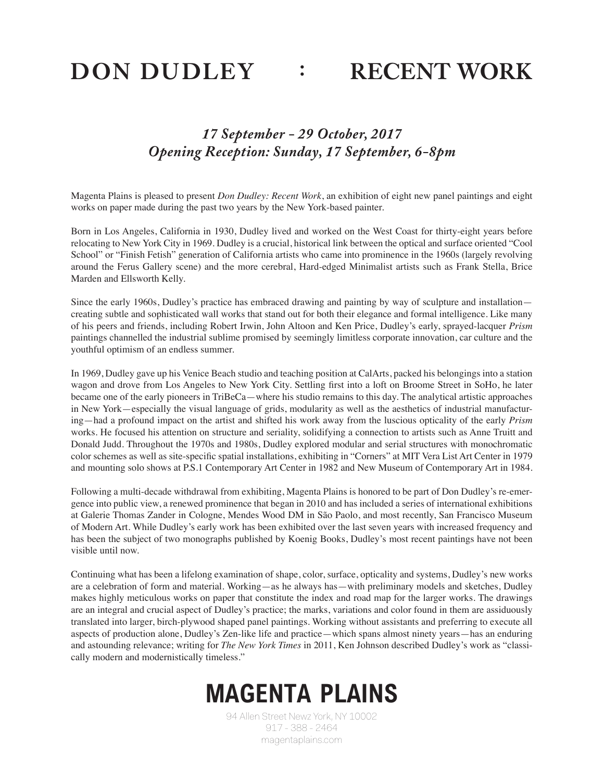DON DUDLEY : RECENT WORK

## *17 September - 29 October, 2017 Opening Reception: Sunday, 17 September, 6-8pm*

Magenta Plains is pleased to present *Don Dudley: Recent Work*, an exhibition of eight new panel paintings and eight works on paper made during the past two years by the New York-based painter.

Born in Los Angeles, California in 1930, Dudley lived and worked on the West Coast for thirty-eight years before relocating to New York City in 1969. Dudley is a crucial, historical link between the optical and surface oriented "Cool School" or "Finish Fetish" generation of California artists who came into prominence in the 1960s (largely revolving around the Ferus Gallery scene) and the more cerebral, Hard-edged Minimalist artists such as Frank Stella, Brice Marden and Ellsworth Kelly.

Since the early 1960s, Dudley's practice has embraced drawing and painting by way of sculpture and installation creating subtle and sophisticated wall works that stand out for both their elegance and formal intelligence. Like many of his peers and friends, including Robert Irwin, John Altoon and Ken Price, Dudley's early, sprayed-lacquer *Prism*  paintings channelled the industrial sublime promised by seemingly limitless corporate innovation, car culture and the youthful optimism of an endless summer.

In 1969, Dudley gave up his Venice Beach studio and teaching position at CalArts, packed his belongings into a station wagon and drove from Los Angeles to New York City. Settling first into a loft on Broome Street in SoHo, he later became one of the early pioneers in TriBeCa—where his studio remains to this day. The analytical artistic approaches in New York—especially the visual language of grids, modularity as well as the aesthetics of industrial manufacturing—had a profound impact on the artist and shifted his work away from the luscious opticality of the early *Prism*  works. He focused his attention on structure and seriality, solidifying a connection to artists such as Anne Truitt and Donald Judd. Throughout the 1970s and 1980s, Dudley explored modular and serial structures with monochromatic color schemes as well as site-specific spatial installations, exhibiting in "Corners" at MIT Vera List Art Center in 1979 and mounting solo shows at P.S.1 Contemporary Art Center in 1982 and New Museum of Contemporary Art in 1984.

Following a multi-decade withdrawal from exhibiting, Magenta Plains is honored to be part of Don Dudley's re-emergence into public view, a renewed prominence that began in 2010 and has included a series of international exhibitions at Galerie Thomas Zander in Cologne, Mendes Wood DM in São Paolo, and most recently, San Francisco Museum of Modern Art. While Dudley's early work has been exhibited over the last seven years with increased frequency and has been the subject of two monographs published by Koenig Books, Dudley's most recent paintings have not been visible until now.

Continuing what has been a lifelong examination of shape, color, surface, opticality and systems, Dudley's new works are a celebration of form and material. Working—as he always has—with preliminary models and sketches, Dudley makes highly meticulous works on paper that constitute the index and road map for the larger works. The drawings are an integral and crucial aspect of Dudley's practice; the marks, variations and color found in them are assiduously translated into larger, birch-plywood shaped panel paintings. Working without assistants and preferring to execute all aspects of production alone, Dudley's Zen-like life and practice—which spans almost ninety years—has an enduring and astounding relevance; writing for *The New York Times* in 2011, Ken Johnson described Dudley's work as "classically modern and modernistically timeless."

## *MAGENTA PLAINS*

94 Allen Street Newz York, NY 10002 917 - 388 - 2464 magentaplains.com